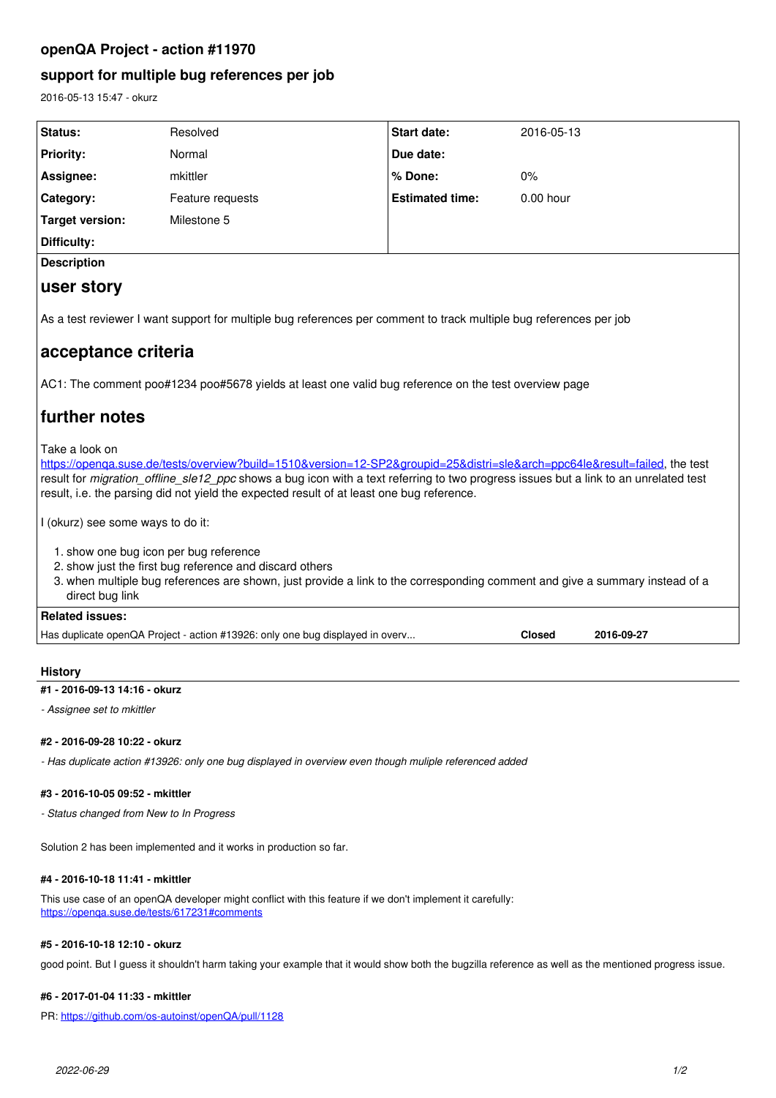## **openQA Project - action #11970**

## **support for multiple bug references per job**

2016-05-13 15:47 - okurz

| Status:                                                                                                                                                                                                                                                                                                                                                                                  | Resolved         | <b>Start date:</b>     | 2016-05-13  |  |
|------------------------------------------------------------------------------------------------------------------------------------------------------------------------------------------------------------------------------------------------------------------------------------------------------------------------------------------------------------------------------------------|------------------|------------------------|-------------|--|
| <b>Priority:</b>                                                                                                                                                                                                                                                                                                                                                                         | Normal           | Due date:              |             |  |
| Assignee:                                                                                                                                                                                                                                                                                                                                                                                | mkittler         | % Done:                | 0%          |  |
| Category:                                                                                                                                                                                                                                                                                                                                                                                | Feature requests | <b>Estimated time:</b> | $0.00$ hour |  |
| <b>Target version:</b>                                                                                                                                                                                                                                                                                                                                                                   | Milestone 5      |                        |             |  |
| Difficulty:                                                                                                                                                                                                                                                                                                                                                                              |                  |                        |             |  |
| <b>Description</b>                                                                                                                                                                                                                                                                                                                                                                       |                  |                        |             |  |
| user story                                                                                                                                                                                                                                                                                                                                                                               |                  |                        |             |  |
| As a test reviewer I want support for multiple bug references per comment to track multiple bug references per job                                                                                                                                                                                                                                                                       |                  |                        |             |  |
| acceptance criteria                                                                                                                                                                                                                                                                                                                                                                      |                  |                        |             |  |
| AC1: The comment poo#1234 poo#5678 yields at least one valid bug reference on the test overview page                                                                                                                                                                                                                                                                                     |                  |                        |             |  |
| further notes                                                                                                                                                                                                                                                                                                                                                                            |                  |                        |             |  |
| Take a look on<br>https://openga.suse.de/tests/overview?build=1510&version=12-SP2&groupid=25&distri=sle&arch=ppc64le&result=failed, the test<br>result for <i>migration offline sle12 ppc</i> shows a bug icon with a text referring to two progress issues but a link to an unrelated test<br>result, i.e. the parsing did not yield the expected result of at least one bug reference. |                  |                        |             |  |
| I (okurz) see some ways to do it:                                                                                                                                                                                                                                                                                                                                                        |                  |                        |             |  |
| 1. show one bug icon per bug reference<br>2. show just the first bug reference and discard others<br>3. when multiple bug references are shown, just provide a link to the corresponding comment and give a summary instead of a<br>direct bug link                                                                                                                                      |                  |                        |             |  |
| <b>Related issues:</b>                                                                                                                                                                                                                                                                                                                                                                   |                  |                        |             |  |
| Has duplicate openQA Project - action #13926: only one bug displayed in overy<br><b>Closed</b><br>2016-09-27                                                                                                                                                                                                                                                                             |                  |                        |             |  |
|                                                                                                                                                                                                                                                                                                                                                                                          |                  |                        |             |  |

# **History**

**#1 - 2016-09-13 14:16 - okurz**

*- Assignee set to mkittler*

#### **#2 - 2016-09-28 10:22 - okurz**

*- Has duplicate action #13926: only one bug displayed in overview even though muliple referenced added*

#### **#3 - 2016-10-05 09:52 - mkittler**

*- Status changed from New to In Progress*

Solution 2 has been implemented and it works in production so far.

#### **#4 - 2016-10-18 11:41 - mkittler**

This use case of an openQA developer might conflict with this feature if we don't implement it carefully: <https://openqa.suse.de/tests/617231#comments>

#### **#5 - 2016-10-18 12:10 - okurz**

good point. But I guess it shouldn't harm taking your example that it would show both the bugzilla reference as well as the mentioned progress issue.

## **#6 - 2017-01-04 11:33 - mkittler**

PR: <https://github.com/os-autoinst/openQA/pull/1128>